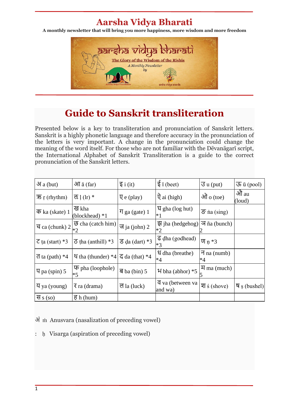## **Aarsha Vidya Bharati**

**A monthly newsletter that will bring you more happiness, more wisdom and more freedom**



## **Guide to Sanskrit transliteration**

Presented below is a key to transliteration and pronunciation of Sanskrit letters. Sanskrit is a highly phonetic language and therefore accuracy in the pronunciation of the letters is very important. A change in the pronunciation could change the meaning of the word itself. For those who are not familiar with the Dēvanāgarī script, the International Alphabet of Sanskrit Transliteration is a guide to the correct pronunciation of the Sanskrit letters.

| $\mathcal{A}$ a (but)          | $\partial \overline{\Pi}$ $\overline{a}$ (far)            | $\overline{\xi}$ i (it)            | $\frac{1}{5}$ ī (beet)                        | $\overline{J}$ u (put)           | $\overline{35}$ ū (pool) |
|--------------------------------|-----------------------------------------------------------|------------------------------------|-----------------------------------------------|----------------------------------|--------------------------|
| $\overline{25}$ r (rhythm)     | ल्ह $\ln$ (lr) *                                          | $\overline{Q}$ e (play)            | $\overline{Q}$ ai (high)                      | ओ $_0$ (toe)                     | औ au<br>(loud)           |
| $\overline{\Phi}$ ka (skate) 1 | ख kha<br>(blockhead) *1                                   | $\P$ ga (gate) 1                   | $\overline{q}$ gha (log hut)<br>$*1$          | $\overline{S}$ na (sing)         |                          |
| च ca (chunk) $2\vert_{*2}$     | $\overline{\mathfrak{G}}$ cha (catch him)                 | ज ja (john) 2                      | $\overline{\mathcal{F}}$ iha (hedgehog)<br>*2 | $\overline{A}$ ña (bunch)        |                          |
| $\overline{c}$ ta (start) *3   | $\overline{6}$ tha (anthill) *3                           | $\overline{5}$ da (dart) *3        | $\overline{G}$ dha (godhead)<br>$*3$          | $\Pi_n * 3$                      |                          |
| $\overline{d}$ ta (path) *4    | $\mathcal{A}$ tha (thunder) *4 $\mathcal{F}$ da (that) *4 |                                    | र्ध dha (breathe)<br>$*4$                     | $\overline{H}$ na (numb)<br>$*4$ |                          |
| $\P$ pa (spin) 5               | $\overline{\Phi}$ pha (loophole)<br>$*5$                  | $\overline{\mathsf{d}}$ ba (bin) 5 | $4$ bha (abhor) $*5$                          | $\overline{H}$ ma (much)         |                          |
| $\overline{q}$ ya (young)      | $\bar{x}$ ra (drama)                                      | ल la (luck)                        | व va (between va<br>and wa)                   | श $\pm$ (shove)                  | $\P$ s (bushel)          |
| स s (so)                       | $\overline{e}$ h (hum)                                    |                                    |                                               |                                  |                          |

अं ṁ Anusvara (nasalization of preceding vowel)

: ḥ Visarga (aspiration of preceding vowel)